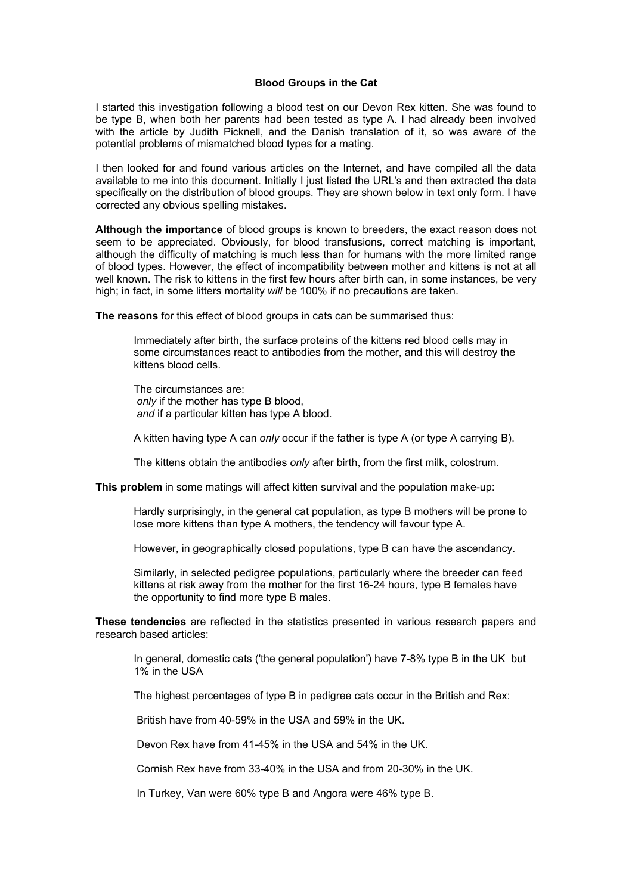## **Blood Groups in the Cat**

I started this investigation following a blood test on our Devon Rex kitten. She was found to be type B, when both her parents had been tested as type A. I had already been involved with the article by Judith Picknell, and the Danish translation of it, so was aware of the potential problems of mismatched blood types for a mating.

I then looked for and found various articles on the Internet, and have compiled all the data available to me into this document. Initially I just listed the URL's and then extracted the data specifically on the distribution of blood groups. They are shown below in text only form. I have corrected any obvious spelling mistakes.

**Although the importance** of blood groups is known to breeders, the exact reason does not seem to be appreciated. Obviously, for blood transfusions, correct matching is important, although the difficulty of matching is much less than for humans with the more limited range of blood types. However, the effect of incompatibility between mother and kittens is not at all well known. The risk to kittens in the first few hours after birth can, in some instances, be very high; in fact, in some litters mortality *will* be 100% if no precautions are taken.

**The reasons** for this effect of blood groups in cats can be summarised thus:

Immediately after birth, the surface proteins of the kittens red blood cells may in some circumstances react to antibodies from the mother, and this will destroy the kittens blood cells.

The circumstances are: *only* if the mother has type B blood, *and* if a particular kitten has type A blood.

A kitten having type A can *only* occur if the father is type A (or type A carrying B).

The kittens obtain the antibodies *only* after birth, from the first milk, colostrum.

**This problem** in some matings will affect kitten survival and the population make-up:

Hardly surprisingly, in the general cat population, as type B mothers will be prone to lose more kittens than type A mothers, the tendency will favour type A.

However, in geographically closed populations, type B can have the ascendancy.

Similarly, in selected pedigree populations, particularly where the breeder can feed kittens at risk away from the mother for the first 16-24 hours, type B females have the opportunity to find more type B males.

**These tendencies** are reflected in the statistics presented in various research papers and research based articles:

In general, domestic cats ('the general population') have 7-8% type B in the UK but 1% in the USA

The highest percentages of type B in pedigree cats occur in the British and Rex:

British have from 40-59% in the USA and 59% in the UK.

Devon Rex have from 41-45% in the USA and 54% in the UK.

Cornish Rex have from 33-40% in the USA and from 20-30% in the UK.

In Turkey, Van were 60% type B and Angora were 46% type B.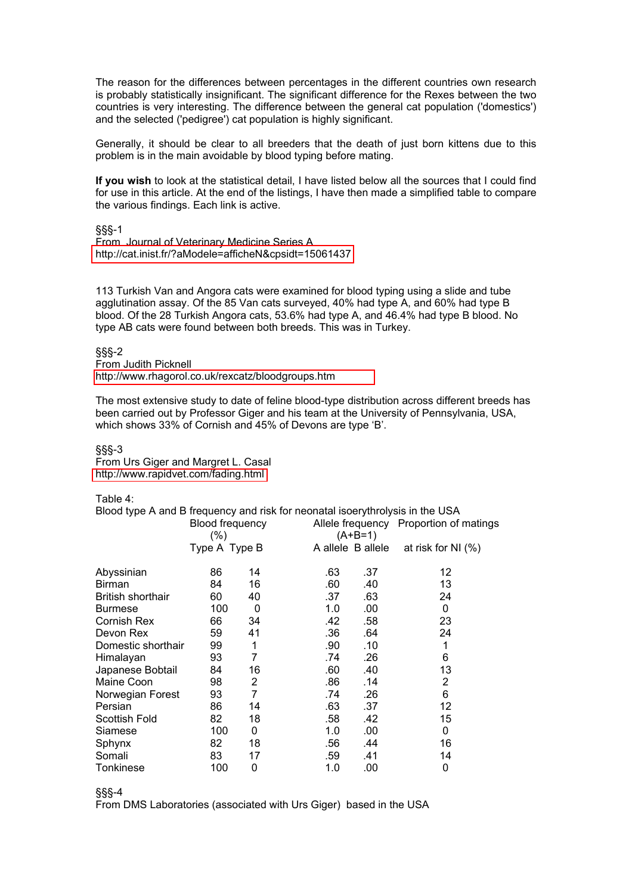The reason for the differences between percentages in the different countries own research is probably statistically insignificant. The significant difference for the Rexes between the two countries is very interesting. The difference between the general cat population ('domestics') and the selected ('pedigree') cat population is highly significant.

Generally, it should be clear to all breeders that the death of just born kittens due to this problem is in the main avoidable by blood typing before mating.

**If you wish** to look at the statistical detail, I have listed below all the sources that I could find for use in this article. At the end of the listings, I have then made a simplified table to compare the various findings. Each link is active.

§§§-1

From Journal of Veterinary Medicine Series A <http://cat.inist.fr/?aModele=afficheN&cpsidt=15061437>

113 Turkish Van and Angora cats were examined for blood typing using a slide and tube agglutination assay. Of the 85 Van cats surveyed, 40% had type A, and 60% had type B blood. Of the 28 Turkish Angora cats, 53.6% had type A, and 46.4% had type B blood. No type AB cats were found between both breeds. This was in Turkey.

§§§-2 From Judith Picknell http://www.rhagorol.co.uk/rexcatz/[bloodgroups.htm](http://www.rhagorol.co.uk/rexcatz/bloodgroups.htm)

The most extensive study to date of feline blood-type distribution across different breeds has been carried out by Professor Giger and his team at the University of Pennsylvania, USA, which shows 33% of Cornish and 45% of Devons are type 'B'.

§§§-3

From Urs Giger and Margret L. Casal <http://www.rapidvet.com/fading.html>

Table 4:

Blood type A and B frequency and risk for neonatal isoerythrolysis in the USA

| $\frac{1}{2}$ . The contract of the contract of the contract to the contract of $\frac{1}{2}$ . The contract of $\frac{1}{2}$ |                            |    |     |                   |                                        |  |  |
|-------------------------------------------------------------------------------------------------------------------------------|----------------------------|----|-----|-------------------|----------------------------------------|--|--|
|                                                                                                                               | Blood frequency<br>$(\% )$ |    |     | $(A+B=1)$         | Allele frequency Proportion of matings |  |  |
|                                                                                                                               | Type A Type B              |    |     | A allele B allele | at risk for NI $(%)$                   |  |  |
|                                                                                                                               |                            |    |     |                   |                                        |  |  |
| Abyssinian                                                                                                                    | 86                         | 14 | .63 | .37               | 12                                     |  |  |
| <b>Birman</b>                                                                                                                 | 84                         | 16 | .60 | .40               | 13                                     |  |  |
| British shorthair                                                                                                             | 60                         | 40 | .37 | .63               | 24                                     |  |  |
| <b>Burmese</b>                                                                                                                | 100                        | 0  | 1.0 | .00               | 0                                      |  |  |
| Cornish Rex                                                                                                                   | 66                         | 34 | .42 | .58               | 23                                     |  |  |
| Devon Rex                                                                                                                     | 59                         | 41 | .36 | .64               | 24                                     |  |  |
| Domestic shorthair                                                                                                            | 99                         | 1  | .90 | .10               | 1                                      |  |  |
| Himalayan                                                                                                                     | 93                         | 7  | .74 | .26               | 6                                      |  |  |
| Japanese Bobtail                                                                                                              | 84                         | 16 | .60 | .40               | 13                                     |  |  |
| Maine Coon                                                                                                                    | 98                         | 2  | .86 | .14               | 2                                      |  |  |
| Norwegian Forest                                                                                                              | 93                         | 7  | .74 | .26               | 6                                      |  |  |
| Persian                                                                                                                       | 86                         | 14 | .63 | .37               | 12                                     |  |  |
| Scottish Fold                                                                                                                 | 82                         | 18 | .58 | .42               | 15                                     |  |  |
| Siamese                                                                                                                       | 100                        | 0  | 1.0 | .00               | $\Omega$                               |  |  |
| Sphynx                                                                                                                        | 82                         | 18 | .56 | .44               | 16                                     |  |  |
| Somali                                                                                                                        | 83                         | 17 | .59 | .41               | 14                                     |  |  |
| Tonkinese                                                                                                                     | 100                        | 0  | 1.0 | .00               | 0                                      |  |  |

§§§-4

From DMS Laboratories (associated with Urs Giger) based in the USA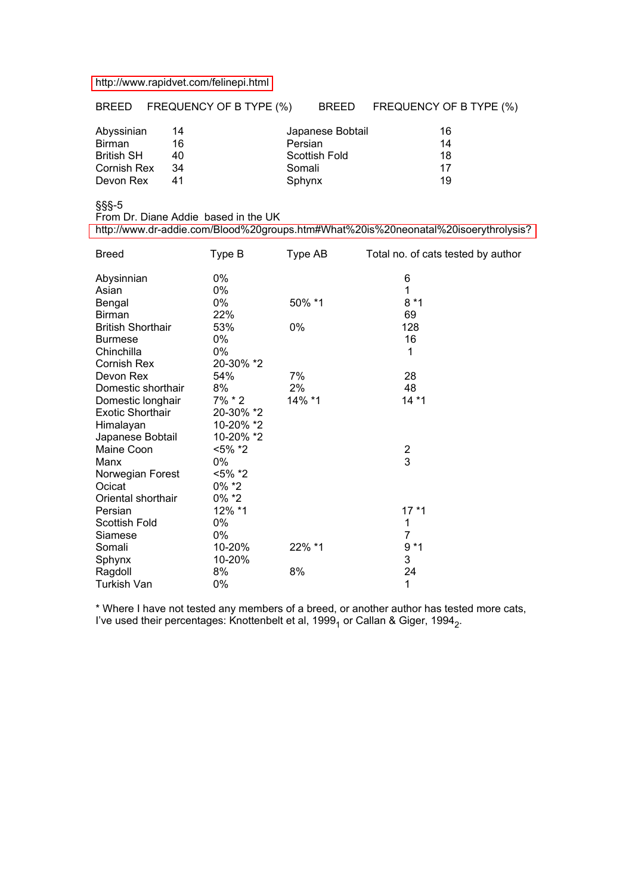## <http://www.rapidvet.com/felinepi.html>

BREED FREQUENCY OF B TYPE (%) BREED FREQUENCY OF B TYPE (%)

| Abyssinian        | 14 | Japanese Bobtail | 16 |
|-------------------|----|------------------|----|
| Birman            | 16 | Persian          | 14 |
| <b>British SH</b> | 40 | Scottish Fold    | 18 |
| Cornish Rex       | 34 | Somali           | 17 |
| Devon Rex         |    | Sphynx           | 19 |

§§§-5

From Dr. Diane Addie based in the UK

<http://www.dr-addie.com/Blood%20groups.htm#What%20is%20neonatal%20isoerythrolysis?>

| <b>Breed</b>             | Type B     | Type AB | Total no. of cats tested by author |
|--------------------------|------------|---------|------------------------------------|
| Abysinnian               | 0%         |         | 6                                  |
| Asian                    | 0%         |         | 1                                  |
| Bengal                   | 0%         | 50% *1  | $8*1$                              |
| <b>Birman</b>            | 22%        |         | 69                                 |
| <b>British Shorthair</b> | 53%        | 0%      | 128                                |
| <b>Burmese</b>           | 0%         |         | 16                                 |
| Chinchilla               | 0%         |         | 1                                  |
| <b>Cornish Rex</b>       | 20-30% *2  |         |                                    |
| Devon Rex                | 54%        | 7%      | 28                                 |
| Domestic shorthair       | 8%         | 2%      | 48                                 |
| Domestic longhair        | 7% * 2     | 14% *1  | $14*1$                             |
| <b>Exotic Shorthair</b>  | 20-30% *2  |         |                                    |
| Himalayan                | 10-20% *2  |         |                                    |
| Japanese Bobtail         | 10-20% *2  |         |                                    |
| Maine Coon               | $< 5\%$ *2 |         | $\frac{2}{3}$                      |
| Manx                     | 0%         |         |                                    |
| Norwegian Forest         | <5% *2     |         |                                    |
| Ocicat                   | $0\%$ *2   |         |                                    |
| Oriental shorthair       | $0\%$ *2   |         |                                    |
| Persian                  | 12% *1     |         | $17*1$                             |
| <b>Scottish Fold</b>     | 0%         |         | 1                                  |
| Siamese                  | 0%         |         | $\overline{7}$                     |
| Somali                   | 10-20%     | 22% *1  | $9*1$                              |
| Sphynx                   | 10-20%     |         | 3                                  |
| Ragdoll                  | 8%         | 8%      | 24                                 |
| Turkish Van              | 0%         |         | 1                                  |

\* Where I have not tested any members of a breed, or another author has tested more cats, I've used their percentages: Knottenbelt et al, 1999<sub>1</sub> or Callan & Giger, 1994<sub>2</sub>.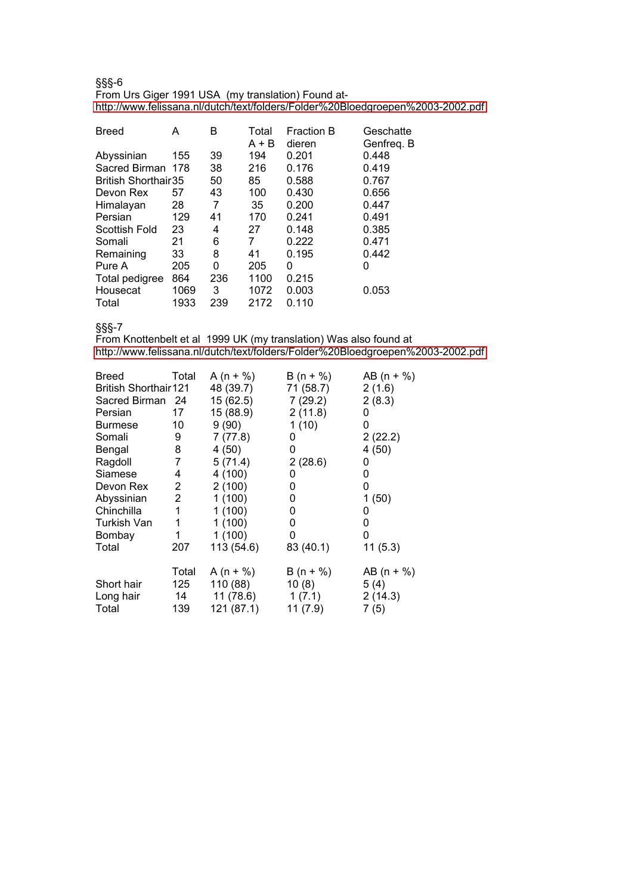§§§-6 From Urs Giger 1991 USA (my translation) Found at<http://www.felissana.nl/dutch/text/folders/Folder%20Bloedgroepen%2003-2002.pdf>

| <b>Breed</b>               | А    | в   | Total<br>$A + B$ | <b>Fraction B</b><br>dieren | Geschatte<br>Genfreq. B |
|----------------------------|------|-----|------------------|-----------------------------|-------------------------|
| Abyssinian                 | 155  | 39  | 194              | 0.201                       | 0.448                   |
| Sacred Birman 178          |      | 38  | 216              | 0.176                       | 0.419                   |
| <b>British Shorthair35</b> |      | 50  | 85               | 0.588                       | 0.767                   |
| Devon Rex                  | 57   | 43  | 100              | 0.430                       | 0.656                   |
| Himalayan                  | 28   | 7   | 35               | 0.200                       | 0.447                   |
| Persian                    | 129  | 41  | 170              | 0.241                       | 0.491                   |
| Scottish Fold              | 23   | 4   | 27               | 0.148                       | 0.385                   |
| Somali                     | 21   | 6   | 7                | 0.222                       | 0.471                   |
| Remaining                  | 33   | 8   | 41               | 0.195                       | 0.442                   |
| Pure A                     | 205  | 0   | 205              | 0                           | 0                       |
| Total pedigree             | 864  | 236 | 1100             | 0.215                       |                         |
| Housecat                   | 1069 | 3   | 1072             | 0.003                       | 0.053                   |
| Total                      | 1933 | 239 | 2172             | 0.110                       |                         |

§§§-7

From Knottenbelt et al 1999 UK (my translation) Was also found at <http://www.felissana.nl/dutch/text/folders/Folder%20Bloedgroepen%2003-2002.pdf>

| Breed                        | Total          | A (n + %)  | $B(n + %)$ | AB $(n + %)$ |
|------------------------------|----------------|------------|------------|--------------|
| <b>British Shorthair 121</b> |                | 48 (39.7)  | 71 (58.7)  | 2(1.6)       |
| Sacred Birman 24             |                | 15 (62.5)  | 7(29.2)    | 2(8.3)       |
| Persian                      | 17             | 15 (88.9)  | 2(11.8)    | 0            |
| Burmese                      | 10             | 9(90)      | 1(10)      | 0            |
| Somali                       | 9              | 7(77.8)    | 0          | 2(22.2)      |
| Bengal                       | 8              | 4(50)      | 0          | 4(50)        |
| Ragdoll                      | 7              | 5(71.4)    | 2(28.6)    | 0            |
| Siamese                      | 4              | 4(100)     | 0          | 0            |
| Devon Rex                    | $\mathbf{2}^-$ | 2(100)     | 0          | 0            |
| Abyssinian                   | $\overline{2}$ | 1(100)     | 0          | 1(50)        |
| Chinchilla                   | 1              | 1(100)     | 0          | 0            |
| Turkish Van                  | 1              | 1(100)     | 0          | 0            |
| Bombay                       | 1              | 1(100)     | 0          | 0            |
| Total                        | 207            | 113 (54.6) | 83 (40.1)  | 11(5.3)      |
|                              | Total          | A (n + %)  | $B(n + %)$ | AB $(n + %)$ |
| Short hair                   | 125            | 110 (88)   | 10(8)      | 5(4)         |
| Long hair                    | 14             | 11(78.6)   | 1(7.1)     | 2(14.3)      |
| Total                        | 139            | 121 (87.1) | 11(7.9)    | 7(5)         |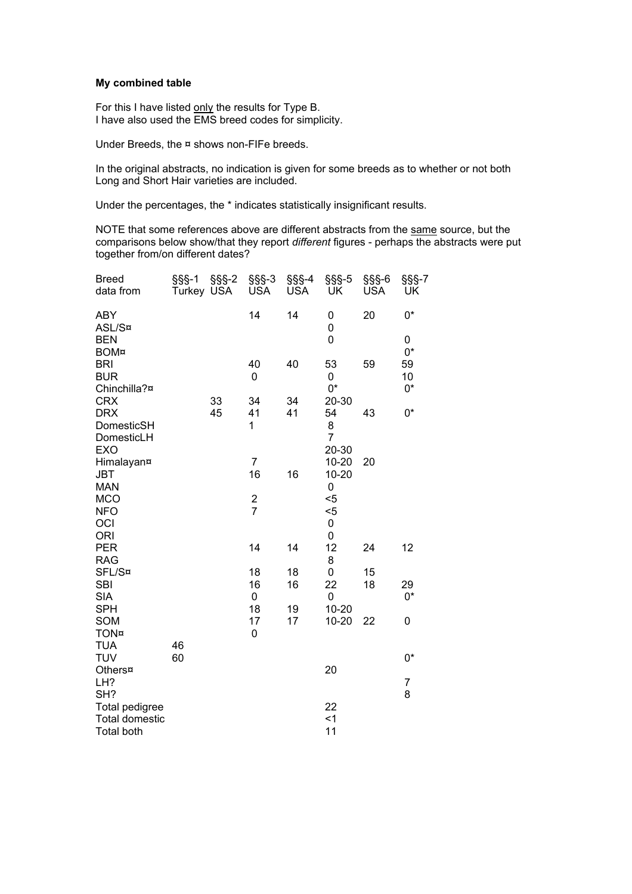## **My combined table**

For this I have listed only the results for Type B. I have also used the EMS breed codes for simplicity.

Under Breeds, the ¤ shows non-FIFe breeds.

In the original abstracts, no indication is given for some breeds as to whether or not both Long and Short Hair varieties are included.

Under the percentages, the \* indicates statistically insignificant results.

NOTE that some references above are different abstracts from the same source, but the comparisons below show/that they report *different* figures - perhaps the abstracts were put together from/on different dates?

| <b>Breed</b><br>data from                  | $\S$ §§-1<br>Turkey USA | $\S$ §§-2 | $\S$ §S-3<br><b>USA</b> | $\S$ §§-4<br><b>USA</b> | $\S$ § $S$ -5<br>UK | $\S$ §§-6<br><b>USA</b> | $\S$ §§-7<br>UK |
|--------------------------------------------|-------------------------|-----------|-------------------------|-------------------------|---------------------|-------------------------|-----------------|
| <b>ABY</b><br>ASL/S¤                       |                         |           | 14                      | 14                      | 0<br>0              | 20                      | $0^*$           |
| <b>BEN</b>                                 |                         |           |                         |                         | 0                   |                         | 0               |
| <b>BOM¤</b><br><b>BRI</b>                  |                         |           | 40                      | 40                      | 53                  | 59                      | $0^*$<br>59     |
| <b>BUR</b>                                 |                         |           | 0                       |                         | 0                   |                         | 10              |
| Chinchilla?¤                               |                         |           |                         |                         | 0*                  |                         | $0^*$           |
| <b>CRX</b>                                 |                         | 33        | 34                      | 34                      | 20-30               |                         |                 |
| <b>DRX</b><br>DomesticSH                   |                         | 45        | 41<br>1                 | 41                      | 54<br>8             | 43                      | $0^*$           |
| DomesticLH                                 |                         |           |                         |                         | $\overline{7}$      |                         |                 |
| <b>EXO</b>                                 |                         |           |                         |                         | 20-30               |                         |                 |
| Himalayan¤                                 |                         |           | $\overline{7}$          |                         | $10 - 20$           | 20                      |                 |
| <b>JBT</b><br><b>MAN</b>                   |                         |           | 16                      | 16                      | $10 - 20$<br>0      |                         |                 |
| <b>MCO</b>                                 |                         |           | $\frac{2}{7}$           |                         | $5$                 |                         |                 |
| <b>NFO</b>                                 |                         |           |                         |                         | $5$                 |                         |                 |
| OCI<br><b>ORI</b>                          |                         |           |                         |                         | 0<br>0              |                         |                 |
| <b>PER</b>                                 |                         |           | 14                      | 14                      | 12                  | 24                      | 12              |
| <b>RAG</b>                                 |                         |           |                         |                         | 8                   |                         |                 |
| SFL/S¤                                     |                         |           | 18                      | 18                      | 0                   | 15                      |                 |
| <b>SBI</b>                                 |                         |           | 16                      | 16                      | 22                  | 18                      | 29<br>$0^*$     |
| <b>SIA</b><br><b>SPH</b>                   |                         |           | 0<br>18                 | 19                      | 0<br>$10 - 20$      |                         |                 |
| <b>SOM</b>                                 |                         |           | 17                      | 17                      | $10 - 20$           | 22                      | 0               |
| <b>TON¤</b>                                |                         |           | 0                       |                         |                     |                         |                 |
| <b>TUA</b><br><b>TUV</b>                   | 46                      |           |                         |                         |                     |                         |                 |
| Others¤                                    | 60                      |           |                         |                         | 20                  |                         | 0*              |
| LH?                                        |                         |           |                         |                         |                     |                         | 7               |
| SH?                                        |                         |           |                         |                         |                     |                         | 8               |
| Total pedigree                             |                         |           |                         |                         | 22                  |                         |                 |
| <b>Total domestic</b><br><b>Total both</b> |                         |           |                         |                         | $<$ 1<br>11         |                         |                 |
|                                            |                         |           |                         |                         |                     |                         |                 |